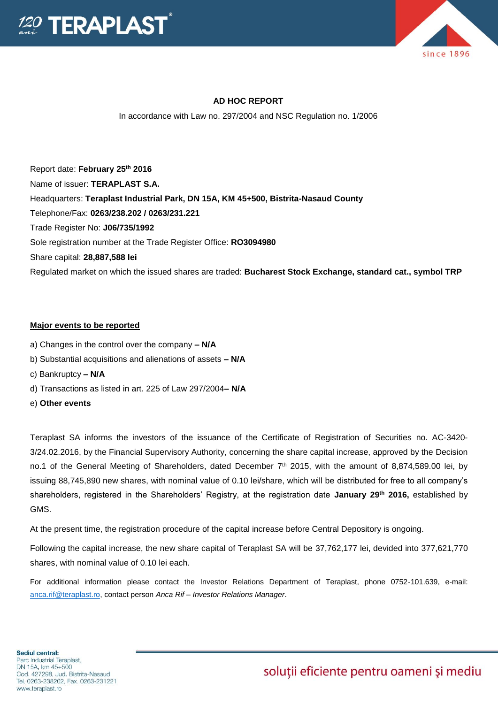



### **AD HOC REPORT**

In accordance with Law no. 297/2004 and NSC Regulation no. 1/2006

Report date: **February 25th 2016** Name of issuer: **TERAPLAST S.A.**  Headquarters: **Teraplast Industrial Park, DN 15A, KM 45+500, Bistrita-Nasaud County** Telephone/Fax: **0263/238.202 / 0263/231.221** Trade Register No: **J06/735/1992** Sole registration number at the Trade Register Office: **RO3094980** Share capital: **28,887,588 lei** Regulated market on which the issued shares are traded: **Bucharest Stock Exchange, standard cat., symbol TRP**

#### **Major events to be reported**

- a) Changes in the control over the company **– N/A**
- b) Substantial acquisitions and alienations of assets **– N/A**
- c) Bankruptcy **– N/A**
- d) Transactions as listed in art. 225 of Law 297/2004**– N/A**
- e) **Other events**

Teraplast SA informs the investors of the issuance of the Certificate of Registration of Securities no. AC-3420- 3/24.02.2016, by the Financial Supervisory Authority, concerning the share capital increase, approved by the Decision no.1 of the General Meeting of Shareholders, dated December 7<sup>th</sup> 2015, with the amount of 8,874,589.00 lei, by issuing 88,745,890 new shares, with nominal value of 0.10 lei/share, which will be distributed for free to all company's shareholders, registered in the Shareholders' Registry, at the registration date **January 29th 2016,** established by GMS.

At the present time, the registration procedure of the capital increase before Central Depository is ongoing.

Following the capital increase, the new share capital of Teraplast SA will be 37,762,177 lei, devided into 377,621,770 shares, with nominal value of 0.10 lei each.

For additional information please contact the Investor Relations Department of Teraplast, phone 0752-101.639, e-mail: [anca.rif@teraplast.ro,](mailto:anca.rif@teraplast.ro) contact person *Anca Rif – Investor Relations Manager*.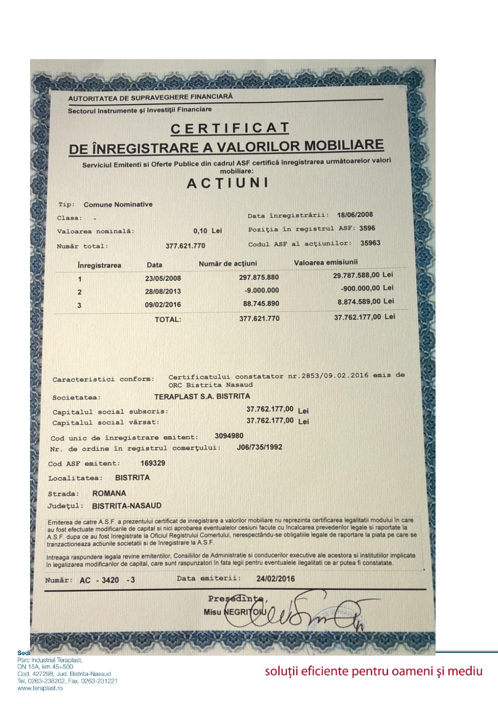**AUTORITATEA DE SUPRAVEGHERE FINANCIARĂ** 

Sectorul Instrumente și Investiții Financiare

# CERTIFICAT DE ÎNREGISTRARE A VALORILOR MOBILIARE

Serviciul Emitenti si Oferte Publice din cadrul ASF certifică înregistrarea următoarelor valori mobiliare:

## ACTIUNI

|                                                                                                                                                                  |               |                                                     | Data înregistrării: 18/06/2008                                                                                                                                                                                                                                                                                                                                                                                                             |  |
|------------------------------------------------------------------------------------------------------------------------------------------------------------------|---------------|-----------------------------------------------------|--------------------------------------------------------------------------------------------------------------------------------------------------------------------------------------------------------------------------------------------------------------------------------------------------------------------------------------------------------------------------------------------------------------------------------------------|--|
| Valoarea nominală:                                                                                                                                               |               | 0,10 Lei                                            | Poziția în registrul ASF: 3596                                                                                                                                                                                                                                                                                                                                                                                                             |  |
| Număr total:                                                                                                                                                     | 377.621.770   |                                                     | 35963<br>Codul ASF al actiunilor:                                                                                                                                                                                                                                                                                                                                                                                                          |  |
| <i><u><b>Inregistrarea</b></u></i>                                                                                                                               | Data          | Număr de acțiuni                                    | Valoarea emisiunii                                                                                                                                                                                                                                                                                                                                                                                                                         |  |
| 1                                                                                                                                                                | 23/05/2008    | 297.875.880                                         | 29.787.588,00 Lei                                                                                                                                                                                                                                                                                                                                                                                                                          |  |
| $\overline{2}$                                                                                                                                                   | 28/08/2013    | $-9.000.000$                                        | -900.000,00 Lei                                                                                                                                                                                                                                                                                                                                                                                                                            |  |
| 3                                                                                                                                                                | 09/02/2016    | 88,745.890                                          | 8.874.589,00 Lei                                                                                                                                                                                                                                                                                                                                                                                                                           |  |
|                                                                                                                                                                  | <b>TOTAL:</b> | 377.621.770                                         | 37.762.177,00 Lei                                                                                                                                                                                                                                                                                                                                                                                                                          |  |
| Societatea:<br>Capitalul social subscris:                                                                                                                        |               | <b>TERAPLAST S.A. BISTRITA</b><br>37.762.177,00 Lei |                                                                                                                                                                                                                                                                                                                                                                                                                                            |  |
|                                                                                                                                                                  |               |                                                     |                                                                                                                                                                                                                                                                                                                                                                                                                                            |  |
|                                                                                                                                                                  |               |                                                     |                                                                                                                                                                                                                                                                                                                                                                                                                                            |  |
| Capitalul social vărsat:                                                                                                                                         |               |                                                     | 37.762.177,00 Lei                                                                                                                                                                                                                                                                                                                                                                                                                          |  |
|                                                                                                                                                                  |               | 3094980                                             |                                                                                                                                                                                                                                                                                                                                                                                                                                            |  |
|                                                                                                                                                                  |               | J06/735/1992                                        |                                                                                                                                                                                                                                                                                                                                                                                                                                            |  |
|                                                                                                                                                                  | 169329        |                                                     |                                                                                                                                                                                                                                                                                                                                                                                                                                            |  |
| <b>BISTRITA</b>                                                                                                                                                  |               |                                                     |                                                                                                                                                                                                                                                                                                                                                                                                                                            |  |
| <b>ROMANA</b>                                                                                                                                                    |               |                                                     |                                                                                                                                                                                                                                                                                                                                                                                                                                            |  |
| Cod unic de înregistrare emitent:<br>Nr. de ordine în registrul comerțului:<br>Cod ASF emitent:<br>Localitatea:<br>Strada:<br><b>BISTRITA-NASAUD</b><br>Județul: |               |                                                     |                                                                                                                                                                                                                                                                                                                                                                                                                                            |  |
|                                                                                                                                                                  |               |                                                     | Emiterea de catre A.S.F. a prezentului certificat de inregistrare a valorilor mobiliare nu reprezinta certificarea legalitatii modului în care<br>au fost efectuate modificarile de capital si nici aprobarea eventualelor cesiuni facute cu încalcarea prevederilor legale si raportate la<br>A.S.F. dupa ce au fost inregistrate la Oficiul Registrului Comertului, nerespectându-se obligatiile legale de raportare la piata pe care se |  |
|                                                                                                                                                                  |               |                                                     | Intreaga raspundere legala revine emitentilor, Consiliilor de Administratie si conducerilor executive ale acestora si institutilor implicate<br>în legalizarea modificarilor de capital, care sunt raspunzatori în fata legii pentru eventualele ilegalitati ce ar putea fi constatate.                                                                                                                                                    |  |
|                                                                                                                                                                  |               | Data emiterii: 24/02/2016                           |                                                                                                                                                                                                                                                                                                                                                                                                                                            |  |
| tranzactioneaza actiunile societatii si de inregistrare la A.S.F.<br>Număr: AC - 3420 - 3                                                                        |               | Presedinte                                          |                                                                                                                                                                                                                                                                                                                                                                                                                                            |  |

Parc Industrial Teraplast, DN 15A, km 45+500 Cod. 427298, Jud. Bistrita-Nasaud Tel. 0263-238202, Fax. 0263-231221 www.teraplast.ro

Sedi

Depthison of the property of

## soluții eficiente pentru oameni și mediu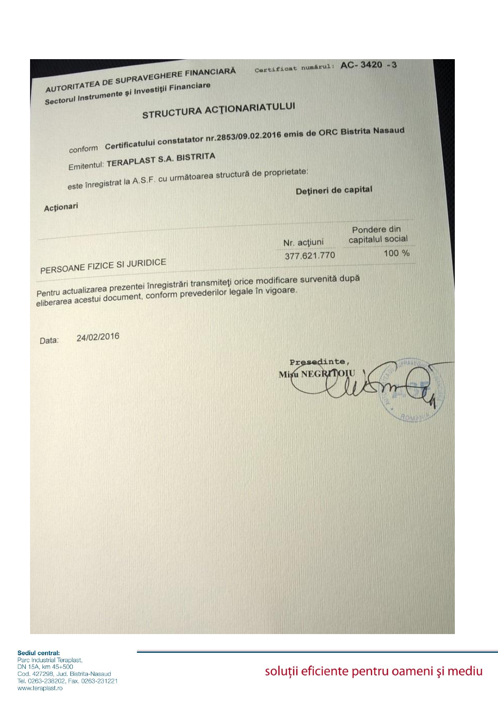| AUTORITATEA DE SUPRAVEGHERE FINANCIARĂ                                            | Certificat numărul: AC-3420 -3 |                  |
|-----------------------------------------------------------------------------------|--------------------------------|------------------|
| Sectorul Instrumente și Investiții Financiare                                     |                                |                  |
| <b>STRUCTURA ACTIONARIATULUI</b>                                                  |                                |                  |
|                                                                                   |                                |                  |
| conform Certificatului constatator nr.2853/09.02.2016 emis de ORC Bistrita Nasaud |                                |                  |
|                                                                                   |                                |                  |
| Emitentul: TERAPLAST S.A. BISTRITA                                                |                                |                  |
| este înregistrat la A.S.F. cu următoarea structură de proprietate:                |                                |                  |
|                                                                                   | Dețineri de capital            |                  |
| Acționari                                                                         |                                |                  |
|                                                                                   |                                | Pondere din      |
|                                                                                   | Nr. acțiuni                    | capitalul social |
| PERSOANE FIZICE SI JURIDICE                                                       | 377.621.770                    | 100 %            |
|                                                                                   |                                |                  |
| 24/02/2016                                                                        |                                |                  |
| Data:                                                                             |                                |                  |
|                                                                                   | Presedinte,<br>Misu NEGRITOIU  |                  |
|                                                                                   |                                |                  |
|                                                                                   |                                |                  |
|                                                                                   |                                |                  |
|                                                                                   |                                |                  |
|                                                                                   |                                |                  |
|                                                                                   |                                |                  |
|                                                                                   |                                |                  |
|                                                                                   |                                |                  |
|                                                                                   |                                |                  |
|                                                                                   |                                |                  |
|                                                                                   |                                |                  |
|                                                                                   |                                |                  |
|                                                                                   |                                |                  |
|                                                                                   |                                |                  |
|                                                                                   |                                |                  |
|                                                                                   |                                |                  |

Sediul central:<br>Parc Industrial Teraplast,<br>DN 15A, km 45+500<br>Cod. 427298, Jud. Bistrita-Nasaud<br>Tel. 0263-238202, Fax. 0263-231221 www.teraplast.ro

soluții eficiente pentru oameni și mediu